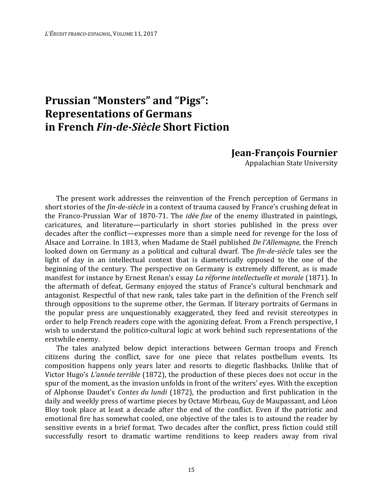## **Prussian "Monsters" and "Pigs": Representations of Germans in French** *Fin-de-Siècle* **Short Fiction**

## **Jean-François Fournier**

Appalachian State University

The present work addresses the reinvention of the French perception of Germans in short stories of the *fin-de-siècle* in a context of trauma caused by France's crushing defeat in the Franco-Prussian War of 1870-71. The *idée fixe* of the enemy illustrated in paintings, caricatures, and literature—particularly in short stories published in the press over decades after the conflict—expresses more than a simple need for revenge for the loss of Alsace and Lorraine. In 1813, when Madame de Staël published *De l'Allemagne*, the French looked down on Germany as a political and cultural dwarf. The *fin-de-siècle* tales see the light of day in an intellectual context that is diametrically opposed to the one of the beginning of the century. The perspective on Germany is extremely different, as is made manifest for instance by Ernest Renan's essay *La réforme intellectuelle et morale* (1871). In the aftermath of defeat, Germany enjoyed the status of France's cultural benchmark and antagonist. Respectful of that new rank, tales take part in the definition of the French self through oppositions to the supreme other, the German. If literary portraits of Germans in the popular press are unquestionably exaggerated, they feed and revisit stereotypes in order to help French readers cope with the agonizing defeat. From a French perspective, I wish to understand the politico-cultural logic at work behind such representations of the erstwhile enemy.

The tales analyzed below depict interactions between German troops and French citizens during the conflict, save for one piece that relates postbellum events. Its composition happens only years later and resorts to diegetic flashbacks. Unlike that of Victor Hugo's *L'année terrible* (1872), the production of these pieces does not occur in the spur of the moment, as the invasion unfolds in front of the writers' eyes. With the exception of Alphonse Daudet's *Contes du lundi* (1872), the production and first publication in the daily and weekly press of wartime pieces by Octave Mirbeau, Guy de Maupassant, and Léon Bloy took place at least a decade after the end of the conflict. Even if the patriotic and emotional fire has somewhat cooled, one objective of the tales is to astound the reader by sensitive events in a brief format. Two decades after the conflict, press fiction could still successfully resort to dramatic wartime renditions to keep readers away from rival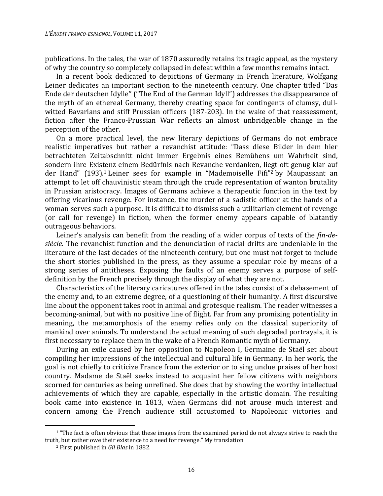publications. In the tales, the war of 1870 assuredly retains its tragic appeal, as the mystery of why the country so completely collapsed in defeat within a few months remains intact.

In a recent book dedicated to depictions of Germany in French literature, Wolfgang Leiner dedicates an important section to the nineteenth century. One chapter titled "Das Ende der deutschen Idylle" ("The End of the German Idyll") addresses the disappearance of the myth of an ethereal Germany, thereby creating space for contingents of clumsy, dullwitted Bavarians and stiff Prussian officers (187-203). In the wake of that reassessment, fiction after the Franco-Prussian War reflects an almost unbridgeable change in the perception of the other.

On a more practical level, the new literary depictions of Germans do not embrace realistic imperatives but rather a revanchist attitude: "Dass diese Bilder in dem hier betrachteten Zeitabschnitt nicht immer Ergebnis eines Bemühens um Wahrheit sind, sondern ihre Existenz einem Bedürfnis nach Revanche verdanken, liegt oft genug klar auf der Hand" (193).1 Leiner sees for example in "Mademoiselle Fifi"2 by Maupassant an attempt to let off chauvinistic steam through the crude representation of wanton brutality in Prussian aristocracy. Images of Germans achieve a therapeutic function in the text by offering vicarious revenge. For instance, the murder of a sadistic officer at the hands of a woman serves such a purpose. It is difficult to dismiss such a utilitarian element of revenge (or call for revenge) in fiction, when the former enemy appears capable of blatantly outrageous behaviors.

Leiner's analysis can benefit from the reading of a wider corpus of texts of the *fin-desiècle*. The revanchist function and the denunciation of racial drifts are undeniable in the literature of the last decades of the nineteenth century, but one must not forget to include the short stories published in the press, as they assume a specular role by means of a strong series of antitheses. Exposing the faults of an enemy serves a purpose of selfdefinition by the French precisely through the display of what they are not.

Characteristics of the literary caricatures offered in the tales consist of a debasement of the enemy and, to an extreme degree, of a questioning of their humanity. A first discursive line about the opponent takes root in animal and grotesque realism. The reader witnesses a becoming-animal, but with no positive line of flight. Far from any promising potentiality in meaning, the metamorphosis of the enemy relies only on the classical superiority of mankind over animals. To understand the actual meaning of such degraded portrayals, it is first necessary to replace them in the wake of a French Romantic myth of Germany.

During an exile caused by her opposition to Napoleon I, Germaine de Staël set about compiling her impressions of the intellectual and cultural life in Germany. In her work, the goal is not chiefly to criticize France from the exterior or to sing undue praises of her host country. Madame de Staël seeks instead to acquaint her fellow citizens with neighbors scorned for centuries as being unrefined. She does that by showing the worthy intellectual achievements of which they are capable, especially in the artistic domain. The resulting book came into existence in 1813, when Germans did not arouse much interest and concern among the French audience still accustomed to Napoleonic victories and

 $1$  "The fact is often obvious that these images from the examined period do not always strive to reach the truth, but rather owe their existence to a need for revenge." My translation.

<sup>2</sup> First published in *Gil Blas* in 1882.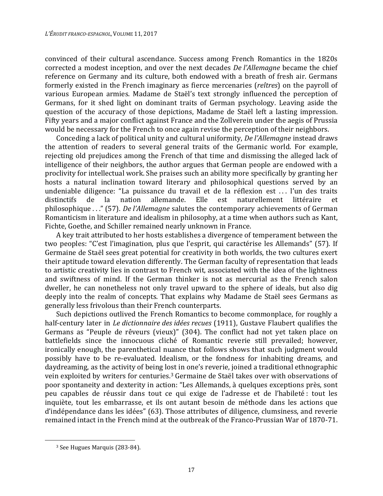convinced of their cultural ascendance. Success among French Romantics in the 1820s corrected a modest inception, and over the next decades *De l'Allemagne* became the chief reference on Germany and its culture, both endowed with a breath of fresh air. Germans formerly existed in the French imaginary as fierce mercenaries (*reîtres*) on the payroll of various European armies. Madame de Staël's text strongly influenced the perception of Germans, for it shed light on dominant traits of German psychology. Leaving aside the question of the accuracy of those depictions, Madame de Staël left a lasting impression. Fifty years and a major conflict against France and the Zollverein under the aegis of Prussia would be necessary for the French to once again revise the perception of their neighbors.

Conceding a lack of political unity and cultural uniformity, *De l'Allemagne* instead draws the attention of readers to several general traits of the Germanic world. For example, rejecting old prejudices among the French of that time and dismissing the alleged lack of intelligence of their neighbors, the author argues that German people are endowed with a proclivity for intellectual work. She praises such an ability more specifically by granting her hosts a natural inclination toward literary and philosophical questions served by an undeniable diligence: "La puissance du travail et de la réflexion est . . . l'un des traits distinctifs de la nation allemande. Elle est naturellement littéraire et philosophique . . ." (57). *De l'Allemagne* salutes the contemporary achievements of German Romanticism in literature and idealism in philosophy, at a time when authors such as Kant, Fichte, Goethe, and Schiller remained nearly unknown in France.

A key trait attributed to her hosts establishes a divergence of temperament between the two peoples: "C'est l'imagination, plus que l'esprit, qui caractérise les Allemands" (57). If Germaine de Staël sees great potential for creativity in both worlds, the two cultures exert their aptitude toward elevation differently. The German faculty of representation that leads to artistic creativity lies in contrast to French wit, associated with the idea of the lightness and swiftness of mind. If the German thinker is not as mercurial as the French salon dweller, he can nonetheless not only travel upward to the sphere of ideals, but also dig deeply into the realm of concepts. That explains why Madame de Staël sees Germans as generally less frivolous than their French counterparts.

Such depictions outlived the French Romantics to become commonplace, for roughly a half-century later in *Le dictionnaire des idées recues* (1911), Gustave Flaubert qualifies the Germans as "Peuple de rêveurs (vieux)" (304). The conflict had not yet taken place on battlefields since the innocuous cliché of Romantic reverie still prevailed; however, ironically enough, the parenthetical nuance that follows shows that such judgment would possibly have to be re-evaluated. Idealism, or the fondness for inhabiting dreams, and daydreaming, as the activity of being lost in one's reverie, joined a traditional ethnographic vein exploited by writers for centuries.3 Germaine de Staël takes over with observations of poor spontaneity and dexterity in action: "Les Allemands, à quelques exceptions près, sont peu capables de réussir dans tout ce qui exige de l'adresse et de l'habileté : tout les inquiète, tout les embarrasse, et ils ont autant besoin de méthode dans les actions que d'indépendance dans les idées" (63). Those attributes of diligence, clumsiness, and reverie remained intact in the French mind at the outbreak of the Franco-Prussian War of 1870-71.

<sup>3</sup> See Hugues Marquis (283-84).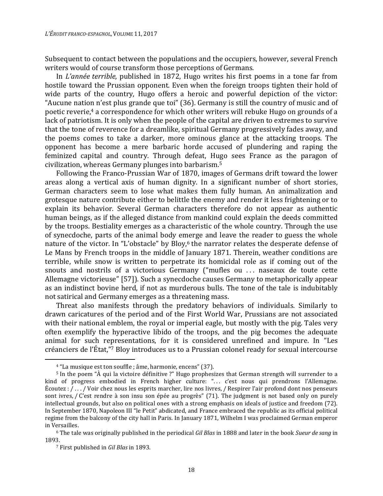Subsequent to contact between the populations and the occupiers, however, several French writers would of course transform those perceptions of Germans.

In *L'année terrible*, published in 1872, Hugo writes his first poems in a tone far from hostile toward the Prussian opponent. Even when the foreign troops tighten their hold of wide parts of the country, Hugo offers a heroic and powerful depiction of the victor: "Aucune nation n'est plus grande que toi" (36). Germany is still the country of music and of poetic reverie,4 a correspondence for which other writers will rebuke Hugo on grounds of a lack of patriotism. It is only when the people of the capital are driven to extremes to survive that the tone of reverence for a dreamlike, spiritual Germany progressively fades away, and the poems comes to take a darker, more ominous glance at the attacking troops. The opponent has become a mere barbaric horde accused of plundering and raping the feminized capital and country. Through defeat, Hugo sees France as the paragon of civilization, whereas Germany plunges into barbarism.<sup>5</sup>

Following the Franco-Prussian War of 1870, images of Germans drift toward the lower areas along a vertical axis of human dignity. In a significant number of short stories, German characters seem to lose what makes them fully human. An animalization and grotesque nature contribute either to belittle the enemy and render it less frightening or to explain its behavior. Several German characters therefore do not appear as authentic human beings, as if the alleged distance from mankind could explain the deeds committed by the troops. Bestiality emerges as a characteristic of the whole country. Through the use of synecdoche, parts of the animal body emerge and leave the reader to guess the whole nature of the victor. In "L'obstacle" by Bloy,<sup>6</sup> the narrator relates the desperate defense of Le Mans by French troops in the middle of January 1871. Therein, weather conditions are terrible, while snow is written to perpetrate its homicidal role as if coming out of the snouts and nostrils of a victorious Germany ("mufles ou ... naseaux de toute cette Allemagne victorieuse" [57]). Such a synecdoche causes Germany to metaphorically appear as an indistinct bovine herd, if not as murderous bulls. The tone of the tale is indubitably not satirical and Germany emerges as a threatening mass.

Threat also manifests through the predatory behaviors of individuals. Similarly to drawn caricatures of the period and of the First World War, Prussians are not associated with their national emblem, the royal or imperial eagle, but mostly with the pig. Tales very often exemplify the hyperactive libido of the troops, and the pig becomes the adequate animal for such representations, for it is considered unrefined and impure. In "Les créanciers de l'État,"7 Bloy introduces us to a Prussian colonel ready for sexual intercourse

<sup>4</sup> "La musique est ton souffle ; âme, harmonie, encens" (37).

<sup>5</sup> In the poem "À qui la victoire définitive ?" Hugo prophesizes that German strength will surrender to a kind of progress embodied in French higher culture: "... c'est nous qui prendrons l'Allemagne. Écoutez : / . . . / Voir chez nous les esprits marcher, lire nos livres, / Respirer l'air profond dont nos penseurs sont ivres, / C'est rendre à son insu son épée au progrès" (71). The judgment is not based only on purely intellectual grounds, but also on political ones with a strong emphasis on ideals of justice and freedom (72). In September 1870, Napoleon III "le Petit" abdicated, and France embraced the republic as its official political regime from the balcony of the city hall in Paris. In January 1871, Wilhelm I was proclaimed German emperor in Versailles.

<sup>6</sup> The tale was originally published in the periodical *Gil Blas* in 1888 and later in the book *Sueur de sang* in 1893.

<sup>7</sup> First published in *Gil Blas* in 1893.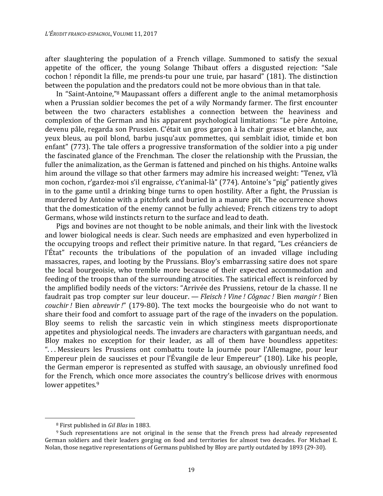after slaughtering the population of a French village. Summoned to satisfy the sexual appetite of the officer, the young Solange Thibaut offers a disgusted rejection: "Sale cochon ! répondit la fille, me prends-tu pour une truie, par hasard" (181). The distinction between the population and the predators could not be more obvious than in that tale.

In "Saint-Antoine,"8 Maupassant offers a different angle to the animal metamorphosis when a Prussian soldier becomes the pet of a wily Normandy farmer. The first encounter between the two characters establishes a connection between the heaviness and complexion of the German and his apparent psychological limitations: "Le père Antoine, devenu pâle, regarda son Prussien. C'était un gros garçon à la chair grasse et blanche, aux yeux bleus, au poil blond, barbu jusqu'aux pommettes, qui semblait idiot, timide et bon enfant" (773). The tale offers a progressive transformation of the soldier into a pig under the fascinated glance of the Frenchman. The closer the relationship with the Prussian, the fuller the animalization, as the German is fattened and pinched on his thighs. Antoine walks him around the village so that other farmers may admire his increased weight: "Tenez, v'là mon cochon, r'gardez-moi s'il engraisse, c't'animal-là" (774). Antoine's "pig" patiently gives in to the game until a drinking binge turns to open hostility. After a fight, the Prussian is murdered by Antoine with a pitchfork and buried in a manure pit. The occurrence shows that the domestication of the enemy cannot be fully achieved; French citizens try to adopt Germans, whose wild instincts return to the surface and lead to death.

Pigs and bovines are not thought to be noble animals, and their link with the livestock and lower biological needs is clear. Such needs are emphasized and even hyperbolized in the occupying troops and reflect their primitive nature. In that regard, "Les créanciers de l'État" recounts the tribulations of the population of an invaded village including massacres, rapes, and looting by the Prussians. Bloy's embarrassing satire does not spare the local bourgeoisie, who tremble more because of their expected accommodation and feeding of the troops than of the surrounding atrocities. The satirical effect is reinforced by the amplified bodily needs of the victors: "Arrivée des Prussiens, retour de la chasse. Il ne faudrait pas trop compter sur leur douceur. — *Fleisch ! Vine ! Côgnac !* Bien *mangir !* Bien *couchir !* Bien *abreuvir !*" (179-80). The text mocks the bourgeoisie who do not want to share their food and comfort to assuage part of the rage of the invaders on the population. Bloy seems to relish the sarcastic vein in which stinginess meets disproportionate appetites and physiological needs. The invaders are characters with gargantuan needs, and Bloy makes no exception for their leader, as all of them have boundless appetites: "... Messieurs les Prussiens ont combattu toute la journée pour l'Allemagne, pour leur Empereur plein de saucisses et pour l'Évangile de leur Empereur" (180). Like his people, the German emperor is represented as stuffed with sausage, an obviously unrefined food for the French, which once more associates the country's bellicose drives with enormous lower appetites.<sup>9</sup>

 $\overline{a}$ 

<sup>8</sup> First published in *Gil Blas* in 1883.

<sup>9</sup> Such representations are not original in the sense that the French press had already represented German soldiers and their leaders gorging on food and territories for almost two decades. For Michael E. Nolan, those negative representations of Germans published by Bloy are partly outdated by 1893 (29-30).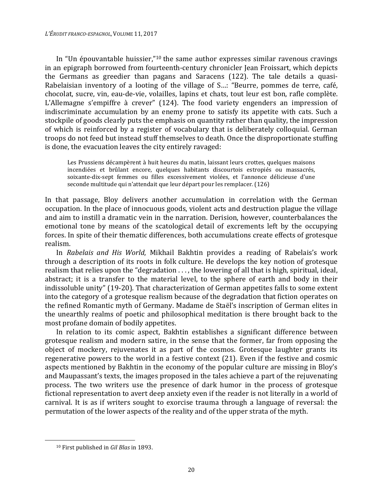In "Un épouvantable huissier,"10 the same author expresses similar ravenous cravings in an epigraph borrowed from fourteenth-century chronicler Jean Froissart, which depicts the Germans as greedier than pagans and Saracens (122). The tale details a quasi-Rabelaisian inventory of a looting of the village of S…: "Beurre, pommes de terre, café, chocolat, sucre, vin, eau-de-vie, volailles, lapins et chats, tout leur est bon, rafle complète. L'Allemagne s'empiffre à crever" (124). The food variety engenders an impression of indiscriminate accumulation by an enemy prone to satisfy its appetite with cats. Such a stockpile of goods clearly puts the emphasis on quantity rather than quality, the impression of which is reinforced by a register of vocabulary that is deliberately colloquial. German troops do not feed but instead stuff themselves to death. Once the disproportionate stuffing is done, the evacuation leaves the city entirely ravaged:

Les Prussiens décampèrent à huit heures du matin, laissant leurs crottes, quelques maisons incendiées et brûlant encore, quelques habitants discourtois estropiés ou massacrés, soixante-dix-sept femmes ou filles excessivement violées, et l'annonce délicieuse d'une seconde multitude qui n'attendait que leur départ pour les remplacer. (126)

In that passage, Bloy delivers another accumulation in correlation with the German occupation. In the place of innocuous goods, violent acts and destruction plague the village and aim to instill a dramatic vein in the narration. Derision, however, counterbalances the emotional tone by means of the scatological detail of excrements left by the occupying forces. In spite of their thematic differences, both accumulations create effects of grotesque realism.

In *Rabelais and His World*, Mikhail Bakhtin provides a reading of Rabelais's work through a description of its roots in folk culture. He develops the key notion of grotesque realism that relies upon the "degradation . . . , the lowering of all that is high, spiritual, ideal, abstract; it is a transfer to the material level, to the sphere of earth and body in their indissoluble unity" (19-20). That characterization of German appetites falls to some extent into the category of a grotesque realism because of the degradation that fiction operates on the refined Romantic myth of Germany. Madame de Staël's inscription of German elites in the unearthly realms of poetic and philosophical meditation is there brought back to the most profane domain of bodily appetites.

In relation to its comic aspect, Bakhtin establishes a significant difference between grotesque realism and modern satire, in the sense that the former, far from opposing the object of mockery, rejuvenates it as part of the cosmos. Grotesque laughter grants its regenerative powers to the world in a festive context (21). Even if the festive and cosmic aspects mentioned by Bakhtin in the economy of the popular culture are missing in Bloy's and Maupassant's texts, the images proposed in the tales achieve a part of the rejuvenating process. The two writers use the presence of dark humor in the process of grotesque fictional representation to avert deep anxiety even if the reader is not literally in a world of carnival. It is as if writers sought to exorcise trauma through a language of reversal: the permutation of the lower aspects of the reality and of the upper strata of the myth.

-

<sup>10</sup> First published in *Gil Blas* in 1893.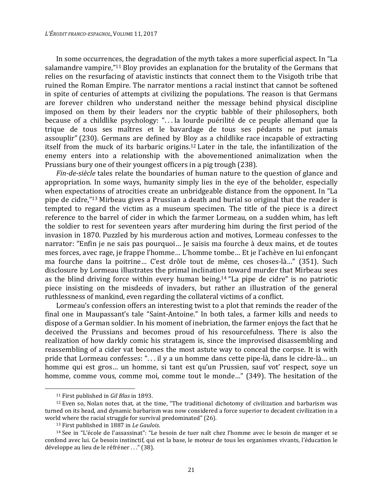In some occurrences, the degradation of the myth takes a more superficial aspect. In "La salamandre vampire,"<sup>11</sup> Bloy provides an explanation for the brutality of the Germans that relies on the resurfacing of atavistic instincts that connect them to the Visigoth tribe that ruined the Roman Empire. The narrator mentions a racial instinct that cannot be softened in spite of centuries of attempts at civilizing the populations. The reason is that Germans are forever children who understand neither the message behind physical discipline imposed on them by their leaders nor the cryptic babble of their philosophers, both because of a childlike psychology: ". . . la lourde puérilité de ce peuple allemand que la trique de tous ses maîtres et le bavardage de tous ses pédants ne put jamais assouplir" (230). Germans are defined by Bloy as a childlike race incapable of extracting itself from the muck of its barbaric origins.12 Later in the tale, the infantilization of the enemy enters into a relationship with the abovementioned animalization when the Prussians bury one of their youngest officers in a pig trough (238).

*Fin-de-siècle* tales relate the boundaries of human nature to the question of glance and appropriation. In some ways, humanity simply lies in the eye of the beholder, especially when expectations of atrocities create an unbridgeable distance from the opponent. In "La pipe de cidre,"13 Mirbeau gives a Prussian a death and burial so original that the reader is tempted to regard the victim as a museum specimen. The title of the piece is a direct reference to the barrel of cider in which the farmer Lormeau, on a sudden whim, has left the soldier to rest for seventeen years after murdering him during the first period of the invasion in 1870. Puzzled by his murderous action and motives, Lormeau confesses to the narrator: "Enfin je ne sais pas pourquoi… Je saisis ma fourche à deux mains, et de toutes mes forces, avec rage, je frappe l'homme… L'homme tombe… Et je l'achève en lui enfonçant ma fourche dans la poitrine… C'est drôle tout de même, ces choses-là…" (351). Such disclosure by Lormeau illustrates the primal inclination toward murder that Mirbeau sees as the blind driving force within every human being. <sup>14</sup> "La pipe de cidre" is no patriotic piece insisting on the misdeeds of invaders, but rather an illustration of the general ruthlessness of mankind, even regarding the collateral victims of a conflict.

Lormeau's confession offers an interesting twist to a plot that reminds the reader of the final one in Maupassant's tale "Saint-Antoine." In both tales, a farmer kills and needs to dispose of a German soldier. In his moment of inebriation, the farmer enjoys the fact that he deceived the Prussians and becomes proud of his resourcefulness. There is also the realization of how darkly comic his stratagem is, since the improvised disassembling and reassembling of a cider vat becomes the most astute way to conceal the corpse. It is with pride that Lormeau confesses: ". . . il y a un homme dans cette pipe-là, dans le cidre-là… un homme qui est gros… un homme, si tant est qu'un Prussien, sauf vot' respect, soye un homme, comme vous, comme moi, comme tout le monde…" (349). The hesitation of the

<sup>11</sup> First published in *Gil Blas* in 1893.

<sup>12</sup> Even so, Nolan notes that, at the time, "The traditional dichotomy of civilization and barbarism was turned on its head, and dynamic barbarism was now considered a force superior to decadent civilization in a world where the racial struggle for survival predominated" (26).

<sup>13</sup> First published in 1887 in *Le Gaulois*.

<sup>14</sup> See in "L'école de l'assassinat": "Le besoin de tuer naît chez l'homme avec le besoin de manger et se confond avec lui. Ce besoin instinctif, qui est la base, le moteur de tous les organismes vivants, l'éducation le développe au lieu de le réfréner . . ." (38).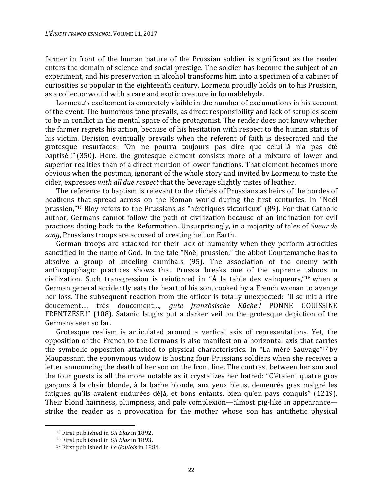farmer in front of the human nature of the Prussian soldier is significant as the reader enters the domain of science and social prestige. The soldier has become the subject of an experiment, and his preservation in alcohol transforms him into a specimen of a cabinet of curiosities so popular in the eighteenth century. Lormeau proudly holds on to his Prussian, as a collector would with a rare and exotic creature in formaldehyde.

Lormeau's excitement is concretely visible in the number of exclamations in his account of the event. The humorous tone prevails, as direct responsibility and lack of scruples seem to be in conflict in the mental space of the protagonist. The reader does not know whether the farmer regrets his action, because of his hesitation with respect to the human status of his victim. Derision eventually prevails when the referent of faith is desecrated and the grotesque resurfaces: "On ne pourra toujours pas dire que celui-là n'a pas été baptisé !" (350). Here, the grotesque element consists more of a mixture of lower and superior realities than of a direct mention of lower functions. That element becomes more obvious when the postman, ignorant of the whole story and invited by Lormeau to taste the cider, expresses *with all due respect* that the beverage slightly tastes of leather.

The reference to baptism is relevant to the clichés of Prussians as heirs of the hordes of heathens that spread across on the Roman world during the first centuries. In "Noël prussien,"15 Bloy refers to the Prussians as "hérétiques victorieux" (89). For that Catholic author, Germans cannot follow the path of civilization because of an inclination for evil practices dating back to the Reformation. Unsurprisingly, in a majority of tales of *Sueur de sang*, Prussians troops are accused of creating hell on Earth.

German troops are attacked for their lack of humanity when they perform atrocities sanctified in the name of God. In the tale "Noël prussien," the abbot Courtemanche has to absolve a group of kneeling cannibals (95). The association of the enemy with anthropophagic practices shows that Prussia breaks one of the supreme taboos in civilization. Such transgression is reinforced in " $\hat{A}$  la table des vainqueurs,"<sup>16</sup> when a German general accidently eats the heart of his son, cooked by a French woman to avenge her loss. The subsequent reaction from the officer is totally unexpected: "Il se mit à rire doucement…, très doucement…, *gute französische Küche !* PONNE GOUISSINE FRENTZÈSE !" (108). Satanic laughs put a darker veil on the grotesque depiction of the Germans seen so far.

Grotesque realism is articulated around a vertical axis of representations. Yet, the opposition of the French to the Germans is also manifest on a horizontal axis that carries the symbolic opposition attached to physical characteristics. In "La mère Sauvage"17 by Maupassant, the eponymous widow is hosting four Prussians soldiers when she receives a letter announcing the death of her son on the front line. The contrast between her son and the four guests is all the more notable as it crystalizes her hatred: "C'étaient quatre gros garçons à la chair blonde, à la barbe blonde, aux yeux bleus, demeurés gras malgré les fatigues qu'ils avaient endurées déjà, et bons enfants, bien qu'en pays conquis" (1219). Their blond hairiness, plumpness, and pale complexion—almost pig-like in appearance strike the reader as a provocation for the mother whose son has antithetic physical

 $\overline{a}$ 

<sup>15</sup> First published in *Gil Blas* in 1892.

<sup>16</sup> First published in *Gil Blas* in 1893.

<sup>17</sup> First published in *Le Gaulois* in 1884.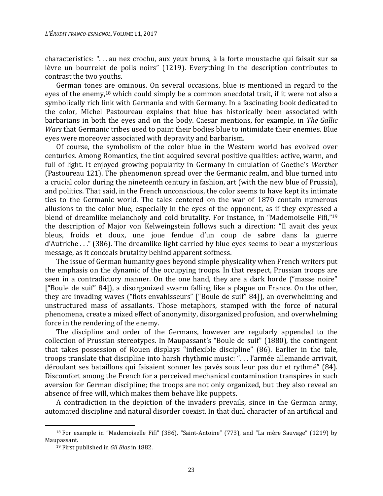characteristics: ". . . au nez crochu, aux yeux bruns, à la forte moustache qui faisait sur sa lèvre un bourrelet de poils noirs" (1219). Everything in the description contributes to contrast the two youths.

German tones are ominous. On several occasions, blue is mentioned in regard to the eyes of the enemy,18 which could simply be a common anecdotal trait, if it were not also a symbolically rich link with Germania and with Germany. In a fascinating book dedicated to the color, Michel Pastoureau explains that blue has historically been associated with barbarians in both the eyes and on the body. Caesar mentions, for example, in *The Gallic Wars* that Germanic tribes used to paint their bodies blue to intimidate their enemies. Blue eyes were moreover associated with depravity and barbarism.

Of course, the symbolism of the color blue in the Western world has evolved over centuries. Among Romantics, the tint acquired several positive qualities: active, warm, and full of light. It enjoyed growing popularity in Germany in emulation of Goethe's *Werther* (Pastoureau 121). The phenomenon spread over the Germanic realm, and blue turned into a crucial color during the nineteenth century in fashion, art (with the new blue of Prussia), and politics. That said, in the French unconscious, the color seems to have kept its intimate ties to the Germanic world. The tales centered on the war of 1870 contain numerous allusions to the color blue, especially in the eyes of the opponent, as if they expressed a blend of dreamlike melancholy and cold brutality. For instance, in "Mademoiselle Fifi,"<sup>19</sup> the description of Major von Kelweingstein follows such a direction: "Il avait des yeux bleus, froids et doux, une joue fendue d'un coup de sabre dans la guerre d'Autriche . . ." (386). The dreamlike light carried by blue eyes seems to bear a mysterious message, as it conceals brutality behind apparent softness.

The issue of German humanity goes beyond simple physicality when French writers put the emphasis on the dynamic of the occupying troops. In that respect, Prussian troops are seen in a contradictory manner. On the one hand, they are a dark horde ("masse noire" ["Boule de suif" 84]), a disorganized swarm falling like a plague on France. On the other, they are invading waves ("flots envahisseurs" ["Boule de suif" 84]), an overwhelming and unstructured mass of assailants. Those metaphors, stamped with the force of natural phenomena, create a mixed effect of anonymity, disorganized profusion, and overwhelming force in the rendering of the enemy.

The discipline and order of the Germans, however are regularly appended to the collection of Prussian stereotypes. In Maupassant's "Boule de suif" (1880), the contingent that takes possession of Rouen displays "inflexible discipline" (86). Earlier in the tale, troops translate that discipline into harsh rhythmic music: ". . . l'armée allemande arrivait, déroulant ses bataillons qui faisaient sonner les pavés sous leur pas dur et rythmé" (84). Discomfort among the French for a perceived mechanical contamination transpires in such aversion for German discipline; the troops are not only organized, but they also reveal an absence of free will, which makes them behave like puppets.

A contradiction in the depiction of the invaders prevails, since in the German army, automated discipline and natural disorder coexist. In that dual character of an artificial and

<sup>&</sup>lt;sup>18</sup> For example in "Mademoiselle Fifi" (386), "Saint-Antoine" (773), and "La mère Sauvage" (1219) by Maupassant.

<sup>19</sup> First published in *Gil Blas* in 1882.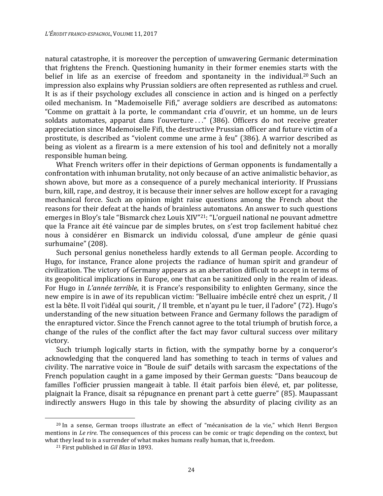natural catastrophe, it is moreover the perception of unwavering Germanic determination that frightens the French. Questioning humanity in their former enemies starts with the belief in life as an exercise of freedom and spontaneity in the individual.<sup>20</sup> Such an impression also explains why Prussian soldiers are often represented as ruthless and cruel. It is as if their psychology excludes all conscience in action and is hinged on a perfectly oiled mechanism. In "Mademoiselle Fifi," average soldiers are described as automatons: "Comme on grattait à la porte, le commandant cria d'ouvrir, et un homme, un de leurs soldats automates, apparut dans l'ouverture ..." (386). Officers do not receive greater appreciation since Mademoiselle Fifi, the destructive Prussian officer and future victim of a prostitute, is described as "violent comme une arme à feu" (386). A warrior described as being as violent as a firearm is a mere extension of his tool and definitely not a morally responsible human being.

What French writers offer in their depictions of German opponents is fundamentally a confrontation with inhuman brutality, not only because of an active animalistic behavior, as shown above, but more as a consequence of a purely mechanical interiority. If Prussians burn, kill, rape, and destroy, it is because their inner selves are hollow except for a ravaging mechanical force. Such an opinion might raise questions among the French about the reasons for their defeat at the hands of brainless automatons. An answer to such questions emerges in Bloy's tale "Bismarck chez Louis XIV"21: "L'orgueil national ne pouvant admettre que la France ait été vaincue par de simples brutes, on s'est trop facilement habitué chez nous à considérer en Bismarck un individu colossal, d'une ampleur de génie quasi surhumaine" (208).

Such personal genius nonetheless hardly extends to all German people. According to Hugo, for instance, France alone projects the radiance of human spirit and grandeur of civilization. The victory of Germany appears as an aberration difficult to accept in terms of its geopolitical implications in Europe, one that can be sanitized only in the realm of ideas. For Hugo in *L'année terrible*, it is France's responsibility to enlighten Germany, since the new empire is in awe of its republican victim: "Belluaire imbécile entré chez un esprit, / Il est la bête. Il voit l'idéal qui sourit, / Il tremble, et n'ayant pu le tuer, il l'adore" (72). Hugo's understanding of the new situation between France and Germany follows the paradigm of the enraptured victor. Since the French cannot agree to the total triumph of brutish force, a change of the rules of the conflict after the fact may favor cultural success over military victory.

Such triumph logically starts in fiction, with the sympathy borne by a conqueror's acknowledging that the conquered land has something to teach in terms of values and civility. The narrative voice in "Boule de suif" details with sarcasm the expectations of the French population caught in a game imposed by their German guests: "Dans beaucoup de familles l'officier prussien mangeait à table. Il était parfois bien élevé, et, par politesse, plaignait la France, disait sa répugnance en prenant part à cette guerre" (85). Maupassant indirectly answers Hugo in this tale by showing the absurdity of placing civility as an

<sup>20</sup> In a sense, German troops illustrate an effect of "mécanisation de la vie," which Henri Bergson mentions in *Le rire*. The consequences of this process can be comic or tragic depending on the context, but what they lead to is a surrender of what makes humans really human, that is, freedom.

<sup>21</sup> First published in *Gil Blas* in 1893.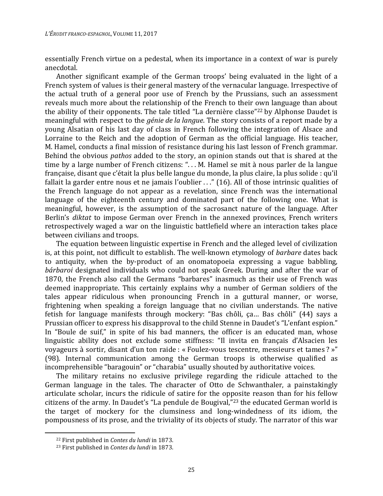essentially French virtue on a pedestal, when its importance in a context of war is purely anecdotal.

Another significant example of the German troops' being evaluated in the light of a French system of values is their general mastery of the vernacular language. Irrespective of the actual truth of a general poor use of French by the Prussians, such an assessment reveals much more about the relationship of the French to their own language than about the ability of their opponents. The tale titled "La dernière classe"22 by Alphonse Daudet is meaningful with respect to the *génie de la langue*. The story consists of a report made by a young Alsatian of his last day of class in French following the integration of Alsace and Lorraine to the Reich and the adoption of German as the official language. His teacher, M. Hamel, conducts a final mission of resistance during his last lesson of French grammar. Behind the obvious *pathos* added to the story, an opinion stands out that is shared at the time by a large number of French citizens: "... M. Hamel se mit à nous parler de la langue française, disant que c'était la plus belle langue du monde, la plus claire, la plus solide : qu'il fallait la garder entre nous et ne jamais l'oublier . . ." (16). All of those intrinsic qualities of the French language do not appear as a revelation, since French was the international language of the eighteenth century and dominated part of the following one. What is meaningful, however, is the assumption of the sacrosanct nature of the language. After Berlin's *diktat* to impose German over French in the annexed provinces, French writers retrospectively waged a war on the linguistic battlefield where an interaction takes place between civilians and troops.

The equation between linguistic expertise in French and the alleged level of civilization is, at this point, not difficult to establish. The well-known etymology of *barbare* dates back to antiquity, when the by-product of an onomatopoeia expressing a vague babbling, *bárbaroi* designated individuals who could not speak Greek. During and after the war of 1870, the French also call the Germans "barbares" inasmuch as their use of French was deemed inappropriate. This certainly explains why a number of German soldiers of the tales appear ridiculous when pronouncing French in a guttural manner, or worse, frightening when speaking a foreign language that no civilian understands. The native fetish for language manifests through mockery: "Bas chôli, ça… Bas chôli" (44) says a Prussian officer to express his disapproval to the child Stenne in Daudet's "L'enfant espion." In "Boule de suif," in spite of his bad manners, the officer is an educated man, whose linguistic ability does not exclude some stiffness: "Il invita en français d'Alsacien les voyageurs à sortir, disant d'un ton raide : « Foulez-vous tescentre, messieurs et tames ? »" (98). Internal communication among the German troops is otherwise qualified as incomprehensible "baragouin" or "charabia" usually shouted by authoritative voices.

The military retains no exclusive privilege regarding the ridicule attached to the German language in the tales. The character of Otto de Schwanthaler, a painstakingly articulate scholar, incurs the ridicule of satire for the opposite reason than for his fellow citizens of the army. In Daudet's "La pendule de Bougival,"23 the educated German world is the target of mockery for the clumsiness and long-windedness of its idiom, the pompousness of its prose, and the triviality of its objects of study. The narrator of this war

<sup>22</sup> First published in *Contes du lundi* in 1873.

<sup>23</sup> First published in *Contes du lundi* in 1873.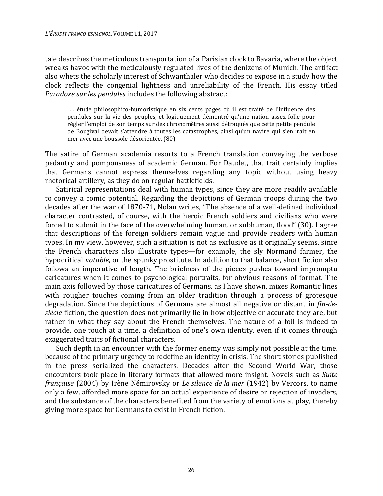tale describes the meticulous transportation of a Parisian clock to Bavaria, where the object wreaks havoc with the meticulously regulated lives of the denizens of Munich. The artifact also whets the scholarly interest of Schwanthaler who decides to expose in a study how the clock reflects the congenial lightness and unreliability of the French. His essay titled *Paradoxe sur les pendules* includes the following abstract:

... étude philosophico-humoristique en six cents pages où il est traité de l'influence des pendules sur la vie des peuples, et logiquement démontré qu'une nation assez folle pour régler l'emploi de son temps sur des chronomètres aussi détraqués que cette petite pendule de Bougival devait s'attendre à toutes les catastrophes, ainsi qu'un navire qui s'en irait en mer avec une boussole désorientée. (80)

The satire of German academia resorts to a French translation conveying the verbose pedantry and pompousness of academic German. For Daudet, that trait certainly implies that Germans cannot express themselves regarding any topic without using heavy rhetorical artillery, as they do on regular battlefields.

Satirical representations deal with human types, since they are more readily available to convey a comic potential. Regarding the depictions of German troops during the two decades after the war of 1870-71, Nolan writes, "The absence of a well-defined individual character contrasted, of course, with the heroic French soldiers and civilians who were forced to submit in the face of the overwhelming human, or subhuman, flood" (30). I agree that descriptions of the foreign soldiers remain vague and provide readers with human types. In my view, however, such a situation is not as exclusive as it originally seems, since the French characters also illustrate types—for example, the sly Normand farmer, the hypocritical *notable*, or the spunky prostitute. In addition to that balance, short fiction also follows an imperative of length. The briefness of the pieces pushes toward impromptu caricatures when it comes to psychological portraits, for obvious reasons of format. The main axis followed by those caricatures of Germans, as I have shown, mixes Romantic lines with rougher touches coming from an older tradition through a process of grotesque degradation. Since the depictions of Germans are almost all negative or distant in *fin-desiècle* fiction, the question does not primarily lie in how objective or accurate they are, but rather in what they say about the French themselves. The nature of a foil is indeed to provide, one touch at a time, a definition of one's own identity, even if it comes through exaggerated traits of fictional characters.

Such depth in an encounter with the former enemy was simply not possible at the time, because of the primary urgency to redefine an identity in crisis. The short stories published in the press serialized the characters. Decades after the Second World War, those encounters took place in literary formats that allowed more insight. Novels such as *Suite française* (2004) by Irène Némirovsky or *Le silence de la mer* (1942) by Vercors, to name only a few, afforded more space for an actual experience of desire or rejection of invaders, and the substance of the characters benefited from the variety of emotions at play, thereby giving more space for Germans to exist in French fiction.